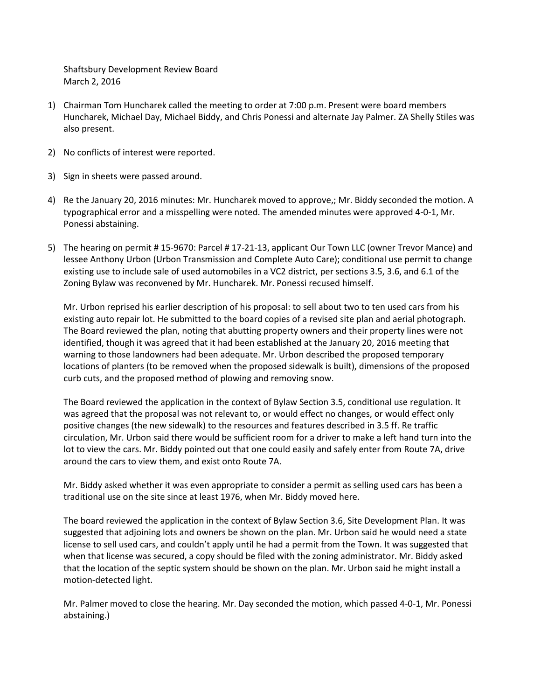Shaftsbury Development Review Board March 2, 2016

- 1) Chairman Tom Huncharek called the meeting to order at 7:00 p.m. Present were board members Huncharek, Michael Day, Michael Biddy, and Chris Ponessi and alternate Jay Palmer. ZA Shelly Stiles was also present.
- 2) No conflicts of interest were reported.
- 3) Sign in sheets were passed around.
- 4) Re the January 20, 2016 minutes: Mr. Huncharek moved to approve,; Mr. Biddy seconded the motion. A typographical error and a misspelling were noted. The amended minutes were approved 4-0-1, Mr. Ponessi abstaining.
- 5) The hearing on permit # 15-9670: Parcel # 17-21-13, applicant Our Town LLC (owner Trevor Mance) and lessee Anthony Urbon (Urbon Transmission and Complete Auto Care); conditional use permit to change existing use to include sale of used automobiles in a VC2 district, per sections 3.5, 3.6, and 6.1 of the Zoning Bylaw was reconvened by Mr. Huncharek. Mr. Ponessi recused himself.

Mr. Urbon reprised his earlier description of his proposal: to sell about two to ten used cars from his existing auto repair lot. He submitted to the board copies of a revised site plan and aerial photograph. The Board reviewed the plan, noting that abutting property owners and their property lines were not identified, though it was agreed that it had been established at the January 20, 2016 meeting that warning to those landowners had been adequate. Mr. Urbon described the proposed temporary locations of planters (to be removed when the proposed sidewalk is built), dimensions of the proposed curb cuts, and the proposed method of plowing and removing snow.

The Board reviewed the application in the context of Bylaw Section 3.5, conditional use regulation. It was agreed that the proposal was not relevant to, or would effect no changes, or would effect only positive changes (the new sidewalk) to the resources and features described in 3.5 ff. Re traffic circulation, Mr. Urbon said there would be sufficient room for a driver to make a left hand turn into the lot to view the cars. Mr. Biddy pointed out that one could easily and safely enter from Route 7A, drive around the cars to view them, and exist onto Route 7A.

Mr. Biddy asked whether it was even appropriate to consider a permit as selling used cars has been a traditional use on the site since at least 1976, when Mr. Biddy moved here.

The board reviewed the application in the context of Bylaw Section 3.6, Site Development Plan. It was suggested that adjoining lots and owners be shown on the plan. Mr. Urbon said he would need a state license to sell used cars, and couldn't apply until he had a permit from the Town. It was suggested that when that license was secured, a copy should be filed with the zoning administrator. Mr. Biddy asked that the location of the septic system should be shown on the plan. Mr. Urbon said he might install a motion-detected light.

Mr. Palmer moved to close the hearing. Mr. Day seconded the motion, which passed 4-0-1, Mr. Ponessi abstaining.)